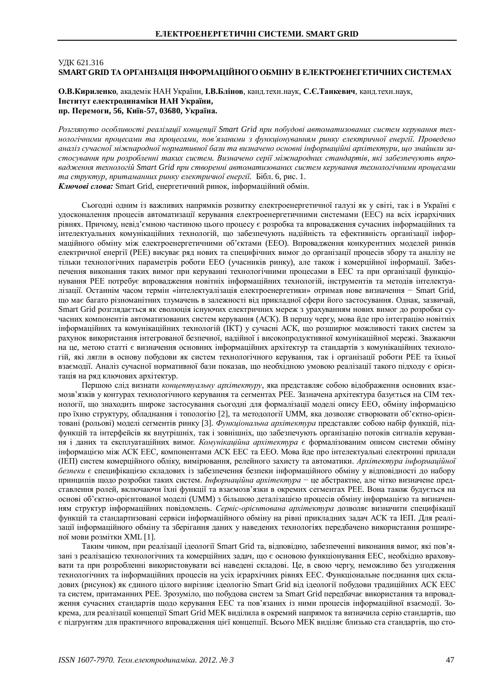## V<sub>J</sub>IK 621.316 **SMART GRID ТА ОРГАНІЗАЦІЯ ІНФОРМАЦІЙНОГО ОБМІНУ В ЕЛЕКТРОЕНЕГЕТИЧНИХ СИСТЕМАХ**

О.В. Кириленко, академік НАН України, І.В.Блінов, канд. техн. наук, С.Є. Танкевич, канд. техн. наук,  **Інститут електродинаміки НАН України,** пр. Перемоги, 56, Київ-57, 03680, Україна.

Розглянуто особливості реалізації концепції Smart Grid при побудові автоматизованих систем керування технологічними процесами та процесами, пов'язаними з функціонуванням ринку електричної енергії. Проведено *ɚɧɚɥɿɡɫɭɱɚɫɧɨʀɦɿɠɧɚɪɨɞɧɨʀɧɨɪɦɚɬɢɜɧɨʀɛɚɡɢɬɚɜɢɡɧɚɱɟɧɨɨɫɧɨɜɧɿɿɧɮɨɪɦɚɰɿɣɧɿɚɪɯɿɬɟɤɬɭɪɢ, ɳɨɡɧɚɣɲɥɢɡɚ*стосування при розробленні таких систем. Визначено серії міжнародних стандартів, які забезпечують впровадження технологій Smart Grid при створенні автоматизованих систем керування технологічними процесами *Ма структур, притаманних ринку електричної енергії.* Бібл. 6, рис. 1. Ключові слова: Smart Grid, енергетичний ринок, інформаційний обмін.

Сьогодні одним із важливих напрямків розвитку електроенергетичної галузі як у світі, так і в Україні є удосконалення процесів автоматизації керування електроенергетичними системами (ЕЕС) на всіх ієрархічних рівнях. Причому, невід'ємною частиною цього процесу є розробка та впровадження сучасних інформаційних та інтелектуальних комунікаційних технологій, що забезпечують налійність та ефективність організації інформаційного обміну між електроенергетичними об'єктами (ЕЕО). Впровадження конкурентних моделей ринків електричної енергії (РЕЕ) висуває ряд нових та специфічних вимог до організації процесів збору та аналізу не тільки технологічних параметрів роботи ЕЕО (учасників ринку), але також і комерційної інформації. Забезпечення виконання таких вимог при керуванні технологічними процесами в ЕЕС та при організації функціонування РЕЕ потребує впровадження новітніх інформаційних технологій, інструментів та методів інтелектуалізації. Останнім часом термін «інтелектуалізація електроенергетики» отримав нове визначення - Smart Grid, що має багато різноманітних тлумачень в залежності від прикладної сфери його застосування. Однак, зазвичай, Smart Grid розглядається як еволюція існуючих електричних мереж з урахуванням нових вимог до розробки сучасних компонентів автоматизованих систем керування (АСК). В першу чергу, мова йде про інтеграцію новітніх інформаційних та комунікаційних технологій (IKT) у сучасні АСК, що розширює можливості таких систем за рахунок використання інтегрованої безпечної, надійної і високопродуктивної комунікаційної мережі. Зважаючи на це, метою статті є визначення основних інформаційних архітектур та стандартів з комунікаційних технологій, які лягли в основу побудови як систем технологічного керування, так і організації роботи РЕЕ та їхньої взаємолії. Аналіз сучасної нормативної бази показав, що необхілною умовою реалізації такого пілхолу є орієнтація на ряд ключових архітектур.

Першою слід визнати *концептуальну архітектуру*, яка представляє собою відображення основних взаємозв'язків у контурах технологічного керування та сегментах РЕЕ. Зазначена архітектура базується на СІМ технології, що знаходить широке застосування сьогодні для формалізації моделі опису ЕЕО, обміну інформацією про їхню структуру, обладнання і топологію [2], та методології UMM, яка дозволяє створювати об'єктно-орієнтовані (рольові) моделі сегментів ринку [3]. Функиіональна архітектура представляє собою набір функцій, підфункцій та інтерфейсів як внутрішніх, так і зовнішніх, що забезпечують організацію потоків сигналів керування і даних та експлуатаційних вимог. Комунікаційна архітектура є формалізованим описом системи обміну інформацією між АСК ЕЕС, компонентами АСК ЕЕС та ЕЕО. Мова йле про інтелектуальні електронні прилали (ІЕП) систем комерційного обліку, вимірювання, релейного захисту та автоматики. Архітектура інформаційної безпеки є специфікацією складових із забезпечення безпеки інформаційного обміну у відповідності до набору принципів щодо розробки таких систем. *Інформаційна архітектура* – це абстрактне, але чітко визначене представлення ролей, включаючи їхні функції та взаємозв'язки в окремих сегментах РЕЕ. Вона також будується на основі об'єктно-орієнтованої моделі (UMM) з більшою деталізацією процесів обміну інформацією та визначенням структур інформаційних повідомлень. Сервіс-орієнтована архітектура дозволяє визначити специфікації функцій та стандартизовані сервіси інформаційного обміну на рівні прикладних задач АСК та ІЕП. Для реалізації інформаційного обміну та зберігання даних у наведених технологіях передбачено використання розширеної мови розмітки XML [1].

Таким чином, при реалізації ідеології Smart Grid та, відповідно, забезпеченні виконання вимог, які пов'язані з реалізацією технологічних та комерційних задач, що є основою функціонування ЕЕС, необхідно враховувати та при розробленні використовувати всі наведені складові. Це, в свою чергу, неможливо без узгодження технологічних та інформаційних процесів на усіх ієрархічних рівнях ЕЕС. Функціональне поєднання цих складових (рисунок) як єдиного цілого вирізняє ідеологію Smart Grid від ідеології побудови традиційних АСК ЕЕС та систем, притаманних РЕЕ, Зрозуміло, що побулова систем за Smart Grid перелбачає використання та впровалження сучасних стандартів щодо керування ЕЕС та пов'язаних із ними процесів інформаційної взаємодії. Зокрема, для реалізації концепції Smart Grid MEK виділила в окремий напрямок та визначила серію стандартів, що є підгрунтям для практичного впровадження цієї концепції. Всього МЕК виділяє близько ста стандартів, що сто-